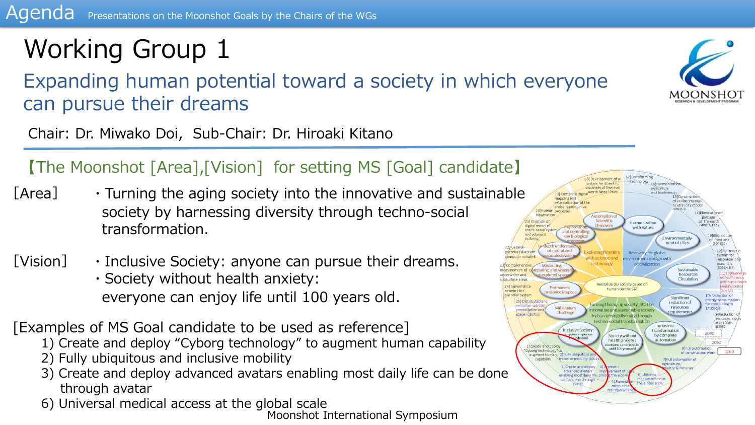# Working Group 1

Expanding human potential toward a society in which everyone can pursue their dreams

Chair: Dr. Miwako Doi, Sub-Chair: Dr. Hiroaki Kitano

#### 【The Moonshot [Area],[Vision] for setting MS [Goal] candidate】

- $[Area] \rightarrow$  Turning the aging society into the innovative and sustainable society by harnessing diversity through techno-social transformation.
- [Vision]  $\cdot$  Inclusive Society: anyone can pursue their dreams. ・Society without health anxiety: everyone can enjoy life until 100 years old.

[Examples of MS Goal candidate to be used as reference]

- 1) Create and deploy "Cyborg technology" to augment human capability
- 2) Fully ubiquitous and inclusive mobility
- 3) Create and deploy advanced avatars enabling most daily life can be done through avatar
- 6) Universal medical access at the global scale



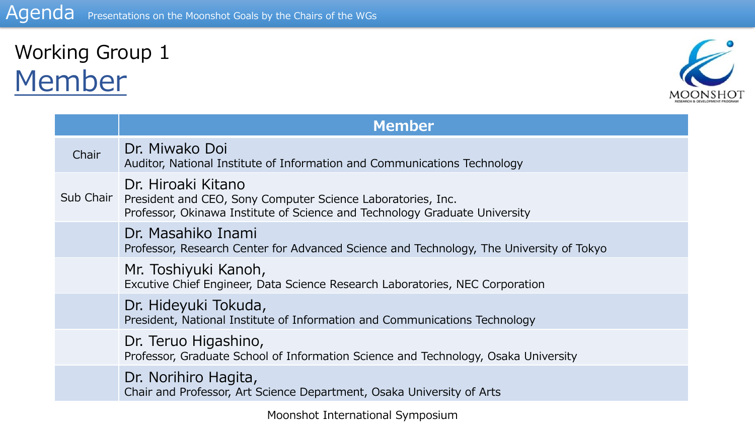### Working Group 1 Member



|           | <b>Member</b>                                                                                                                                                   |  |
|-----------|-----------------------------------------------------------------------------------------------------------------------------------------------------------------|--|
| Chair     | Dr. Miwako Doi<br>Auditor, National Institute of Information and Communications Technology                                                                      |  |
| Sub Chair | Dr. Hiroaki Kitano<br>President and CEO, Sony Computer Science Laboratories, Inc.<br>Professor, Okinawa Institute of Science and Technology Graduate University |  |
|           | Dr. Masahiko Inami<br>Professor, Research Center for Advanced Science and Technology, The University of Tokyo                                                   |  |
|           | Mr. Toshiyuki Kanoh,<br>Excutive Chief Engineer, Data Science Research Laboratories, NEC Corporation                                                            |  |
|           | Dr. Hideyuki Tokuda,<br>President, National Institute of Information and Communications Technology                                                              |  |
|           | Dr. Teruo Higashino,<br>Professor, Graduate School of Information Science and Technology, Osaka University                                                      |  |
|           | Dr. Norihiro Hagita,<br>Chair and Professor, Art Science Department, Osaka University of Arts                                                                   |  |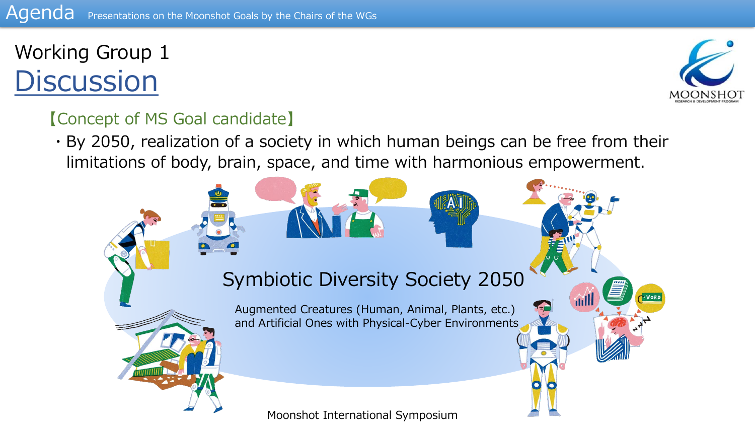

Worp

#### 【Concept of MS Goal candidate】

・By 2050, realization of a society in which human beings can be free from their limitations of body, brain, space, and time with harmonious empowerment.

### Symbiotic Diversity Society 2050

Augmented Creatures (Human, Animal, Plants, etc.) and Artificial Ones with Physical-Cyber Environments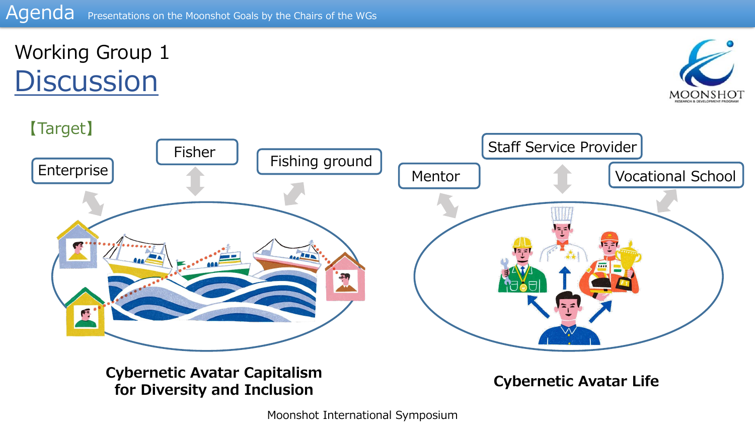



**Cybernetic Avatar Capitalism for Diversity and Inclusion Cybernetic Avatar Life**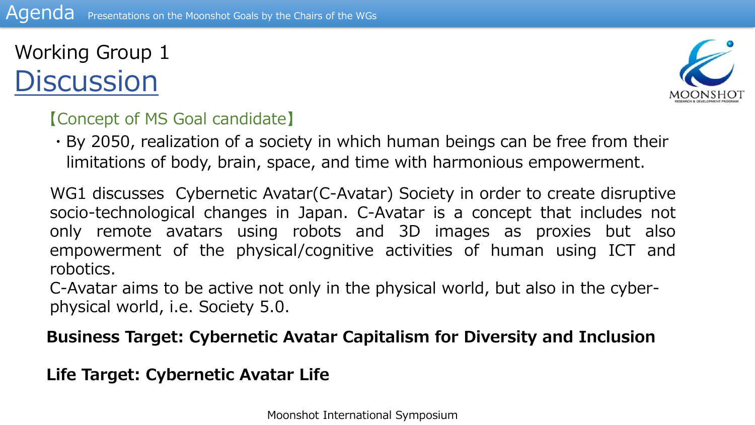

#### 【Concept of MS Goal candidate】

・By 2050, realization of a society in which human beings can be free from their limitations of body, brain, space, and time with harmonious empowerment.

WG1 discusses Cybernetic Avatar(C-Avatar) Society in order to create disruptive socio-technological changes in Japan. C-Avatar is a concept that includes not only remote avatars using robots and 3D images as proxies but also empowerment of the physical/cognitive activities of human using ICT and robotics.

C-Avatar aims to be active not only in the physical world, but also in the cyberphysical world, i.e. Society 5.0.

#### **Business Target: Cybernetic Avatar Capitalism for Diversity and Inclusion**

**Life Target: Cybernetic Avatar Life**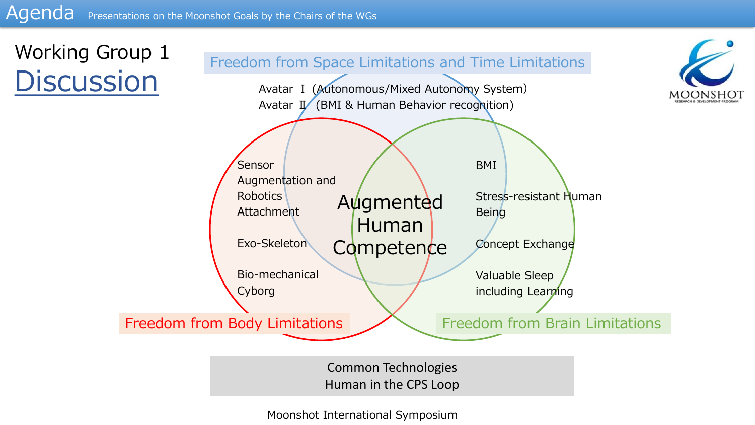

Common Technologies Human in the CPS Loop